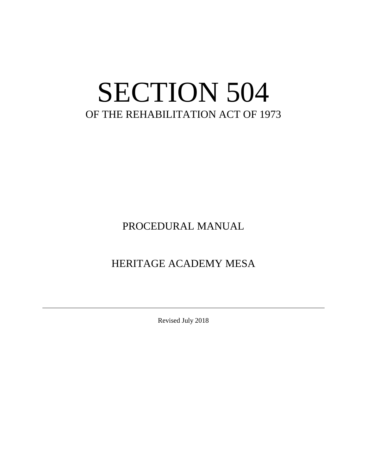# SECTION 504 OF THE REHABILITATION ACT OF 1973

PROCEDURAL MANUAL

HERITAGE ACADEMY MESA

Revised July 2018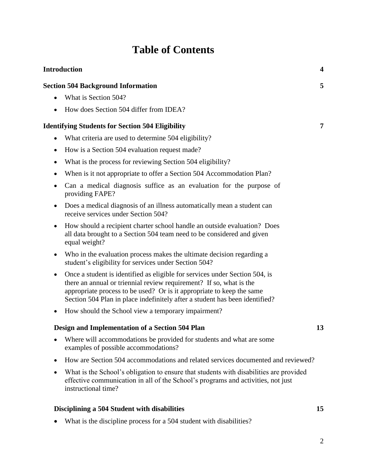# **Table of Contents**

| <b>Introduction</b> |                                                                                                                                                                                                                                                                                                            | 4  |
|---------------------|------------------------------------------------------------------------------------------------------------------------------------------------------------------------------------------------------------------------------------------------------------------------------------------------------------|----|
|                     | <b>Section 504 Background Information</b>                                                                                                                                                                                                                                                                  | 5  |
|                     | What is Section 504?                                                                                                                                                                                                                                                                                       |    |
| $\bullet$           | How does Section 504 differ from IDEA?                                                                                                                                                                                                                                                                     |    |
|                     | <b>Identifying Students for Section 504 Eligibility</b>                                                                                                                                                                                                                                                    | 7  |
| $\bullet$           | What criteria are used to determine 504 eligibility?                                                                                                                                                                                                                                                       |    |
| $\bullet$           | How is a Section 504 evaluation request made?                                                                                                                                                                                                                                                              |    |
| $\bullet$           | What is the process for reviewing Section 504 eligibility?                                                                                                                                                                                                                                                 |    |
| ٠                   | When is it not appropriate to offer a Section 504 Accommodation Plan?                                                                                                                                                                                                                                      |    |
| $\bullet$           | Can a medical diagnosis suffice as an evaluation for the purpose of<br>providing FAPE?                                                                                                                                                                                                                     |    |
| $\bullet$           | Does a medical diagnosis of an illness automatically mean a student can<br>receive services under Section 504?                                                                                                                                                                                             |    |
|                     | How should a recipient charter school handle an outside evaluation? Does<br>all data brought to a Section 504 team need to be considered and given<br>equal weight?                                                                                                                                        |    |
| $\bullet$           | Who in the evaluation process makes the ultimate decision regarding a<br>student's eligibility for services under Section 504?                                                                                                                                                                             |    |
| $\bullet$           | Once a student is identified as eligible for services under Section 504, is<br>there an annual or triennial review requirement? If so, what is the<br>appropriate process to be used? Or is it appropriate to keep the same<br>Section 504 Plan in place indefinitely after a student has been identified? |    |
| $\bullet$           | How should the School view a temporary impairment?                                                                                                                                                                                                                                                         |    |
|                     | Design and Implementation of a Section 504 Plan                                                                                                                                                                                                                                                            | 13 |
|                     | Where will accommodations be provided for students and what are some<br>examples of possible accommodations?                                                                                                                                                                                               |    |
|                     | How are Section 504 accommodations and related services documented and reviewed?                                                                                                                                                                                                                           |    |
| $\bullet$           | What is the School's obligation to ensure that students with disabilities are provided<br>effective communication in all of the School's programs and activities, not just<br>instructional time?                                                                                                          |    |
|                     | Disciplining a 504 Student with disabilities                                                                                                                                                                                                                                                               | 15 |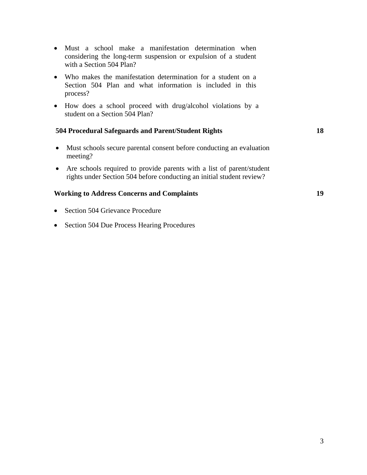- Must a school make a manifestation determination when considering the long-term suspension or expulsion of a student with a Section 504 Plan?
- Who makes the manifestation determination for a student on a Section 504 Plan and what information is included in this process?
- How does a school proceed with drug/alcohol violations by a student on a Section 504 Plan?

#### **504 Procedural Safeguards and Parent/Student Rights 18**

- Must schools secure parental consent before conducting an evaluation meeting?
- Are schools required to provide parents with a list of parent/student rights under Section 504 before conducting an initial student review?

#### **Working to Address Concerns and Complaints 19**

- Section 504 Grievance Procedure
- Section 504 Due Process Hearing Procedures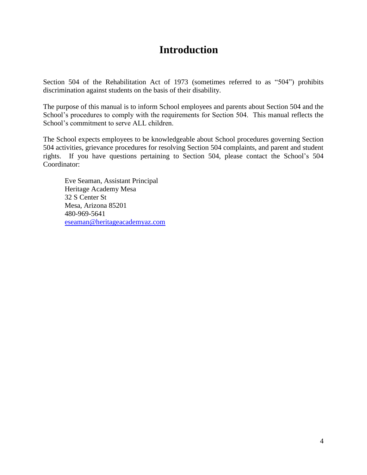# **Introduction**

Section 504 of the Rehabilitation Act of 1973 (sometimes referred to as "504") prohibits discrimination against students on the basis of their disability.

The purpose of this manual is to inform School employees and parents about Section 504 and the School's procedures to comply with the requirements for Section 504. This manual reflects the School's commitment to serve ALL children.

The School expects employees to be knowledgeable about School procedures governing Section 504 activities, grievance procedures for resolving Section 504 complaints, and parent and student rights. If you have questions pertaining to Section 504, please contact the School's 504 Coordinator:

Eve Seaman, Assistant Principal Heritage Academy Mesa 32 S Center St Mesa, Arizona 85201 480-969-5641 [eseaman@heritageacademyaz.com](mailto:eseaman@heritageacademyaz.com)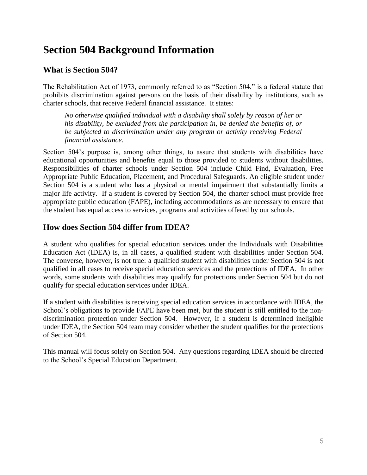# **Section 504 Background Information**

### **What is Section 504?**

The Rehabilitation Act of 1973, commonly referred to as "Section 504," is a federal statute that prohibits discrimination against persons on the basis of their disability by institutions, such as charter schools, that receive Federal financial assistance. It states:

*No otherwise qualified individual with a disability shall solely by reason of her or his disability, be excluded from the participation in, be denied the benefits of, or be subjected to discrimination under any program or activity receiving Federal financial assistance.*

Section 504's purpose is, among other things, to assure that students with disabilities have educational opportunities and benefits equal to those provided to students without disabilities. Responsibilities of charter schools under Section 504 include Child Find, Evaluation, Free Appropriate Public Education, Placement, and Procedural Safeguards. An eligible student under Section 504 is a student who has a physical or mental impairment that substantially limits a major life activity. If a student is covered by Section 504, the charter school must provide free appropriate public education (FAPE), including accommodations as are necessary to ensure that the student has equal access to services, programs and activities offered by our schools.

### **How does Section 504 differ from IDEA?**

A student who qualifies for special education services under the Individuals with Disabilities Education Act (IDEA) is, in all cases, a qualified student with disabilities under Section 504. The converse, however, is not true: a qualified student with disabilities under Section 504 is not qualified in all cases to receive special education services and the protections of IDEA. In other words, some students with disabilities may qualify for protections under Section 504 but do not qualify for special education services under IDEA.

If a student with disabilities is receiving special education services in accordance with IDEA, the School's obligations to provide FAPE have been met, but the student is still entitled to the nondiscrimination protection under Section 504. However, if a student is determined ineligible under IDEA, the Section 504 team may consider whether the student qualifies for the protections of Section 504.

This manual will focus solely on Section 504. Any questions regarding IDEA should be directed to the School's Special Education Department.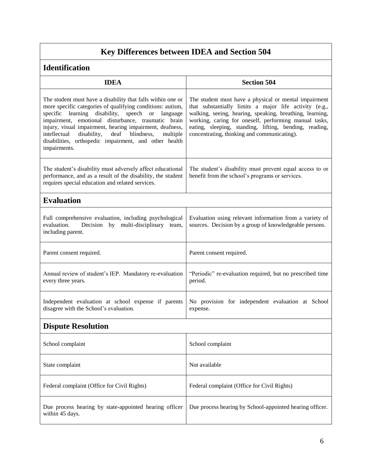# **Key Differences between IDEA and Section 504**

### **Identification**

| <b>IDEA</b>                                                                                                                                                                                                                                                                                                                                                                                                                            | <b>Section 504</b>                                                                                                                                                                                                                                                                                                                            |  |  |
|----------------------------------------------------------------------------------------------------------------------------------------------------------------------------------------------------------------------------------------------------------------------------------------------------------------------------------------------------------------------------------------------------------------------------------------|-----------------------------------------------------------------------------------------------------------------------------------------------------------------------------------------------------------------------------------------------------------------------------------------------------------------------------------------------|--|--|
| The student must have a disability that falls within one or<br>more specific categories of qualifying conditions: autism,<br>specific learning disability, speech or language<br>impairment, emotional disturbance, traumatic brain<br>injury, visual impairment, hearing impairment, deafness,<br>intellectual<br>disability,<br>deaf blindness,<br>multiple<br>disabilities, orthopedic impairment, and other health<br>impairments. | The student must have a physical or mental impairment<br>that substantially limits a major life activity (e.g.,<br>walking, seeing, hearing, speaking, breathing, learning,<br>working, caring for oneself, performing manual tasks,<br>eating, sleeping, standing, lifting, bending, reading,<br>concentrating, thinking and communicating). |  |  |
| The student's disability must adversely affect educational<br>performance, and as a result of the disability, the student<br>requires special education and related services.                                                                                                                                                                                                                                                          | The student's disability must prevent equal access to or<br>benefit from the school's programs or services.                                                                                                                                                                                                                                   |  |  |
| <b>Evaluation</b>                                                                                                                                                                                                                                                                                                                                                                                                                      |                                                                                                                                                                                                                                                                                                                                               |  |  |
| Full comprehensive evaluation, including psychological<br>evaluation.<br>Decision by multi-disciplinary team,<br>including parent.                                                                                                                                                                                                                                                                                                     | Evaluation using relevant information from a variety of<br>sources. Decision by a group of knowledgeable persons.                                                                                                                                                                                                                             |  |  |
| Parent consent required.                                                                                                                                                                                                                                                                                                                                                                                                               | Parent consent required.                                                                                                                                                                                                                                                                                                                      |  |  |
| Annual review of student's IEP. Mandatory re-evaluation<br>every three years.                                                                                                                                                                                                                                                                                                                                                          | "Periodic" re-evaluation required, but no prescribed time<br>period.                                                                                                                                                                                                                                                                          |  |  |
| Independent evaluation at school expense if parents<br>disagree with the School's evaluation.                                                                                                                                                                                                                                                                                                                                          | No provision for independent evaluation at School<br>expense.                                                                                                                                                                                                                                                                                 |  |  |
| <b>Dispute Resolution</b>                                                                                                                                                                                                                                                                                                                                                                                                              |                                                                                                                                                                                                                                                                                                                                               |  |  |
| School complaint                                                                                                                                                                                                                                                                                                                                                                                                                       | School complaint                                                                                                                                                                                                                                                                                                                              |  |  |
| State complaint                                                                                                                                                                                                                                                                                                                                                                                                                        | Not available                                                                                                                                                                                                                                                                                                                                 |  |  |
| Federal complaint (Office for Civil Rights)                                                                                                                                                                                                                                                                                                                                                                                            | Federal complaint (Office for Civil Rights)                                                                                                                                                                                                                                                                                                   |  |  |
| Due process hearing by state-appointed hearing officer<br>within 45 days.                                                                                                                                                                                                                                                                                                                                                              | Due process hearing by School-appointed hearing officer.                                                                                                                                                                                                                                                                                      |  |  |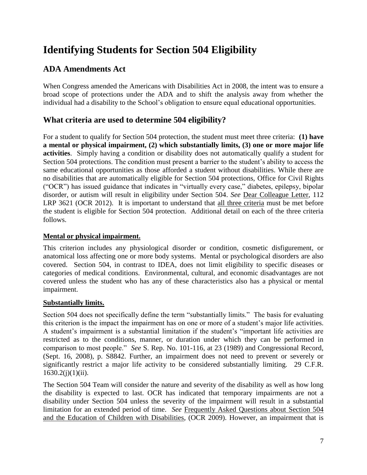# **Identifying Students for Section 504 Eligibility**

### **ADA Amendments Act**

When Congress amended the Americans with Disabilities Act in 2008, the intent was to ensure a broad scope of protections under the ADA and to shift the analysis away from whether the individual had a disability to the School's obligation to ensure equal educational opportunities.

### **What criteria are used to determine 504 eligibility?**

For a student to qualify for Section 504 protection, the student must meet three criteria: **(1) have a mental or physical impairment, (2) which substantially limits, (3) one or more major life activities**. Simply having a condition or disability does not automatically qualify a student for Section 504 protections. The condition must present a barrier to the student's ability to access the same educational opportunities as those afforded a student without disabilities. While there are no disabilities that are automatically eligible for Section 504 protections, Office for Civil Rights ("OCR") has issued guidance that indicates in "virtually every case," diabetes, epilepsy, bipolar disorder, or autism will result in eligibility under Section 504. *See* Dear Colleague Letter, 112 LRP 3621 (OCR 2012). It is important to understand that all three criteria must be met before the student is eligible for Section 504 protection. Additional detail on each of the three criteria follows.

#### **Mental or physical impairment.**

This criterion includes any physiological disorder or condition, cosmetic disfigurement, or anatomical loss affecting one or more body systems. Mental or psychological disorders are also covered. Section 504, in contrast to IDEA, does not limit eligibility to specific diseases or categories of medical conditions. Environmental, cultural, and economic disadvantages are not covered unless the student who has any of these characteristics also has a physical or mental impairment.

#### **Substantially limits.**

Section 504 does not specifically define the term "substantially limits." The basis for evaluating this criterion is the impact the impairment has on one or more of a student's major life activities. A student's impairment is a substantial limitation if the student's "important life activities are restricted as to the conditions, manner, or duration under which they can be performed in comparison to most people." *See* S. Rep. No. 101-116, at 23 (1989) and Congressional Record, (Sept. 16, 2008), p. S8842. Further, an impairment does not need to prevent or severely or significantly restrict a major life activity to be considered substantially limiting. 29 C.F.R.  $1630.2(j)(1)(ii)$ .

The Section 504 Team will consider the nature and severity of the disability as well as how long the disability is expected to last. OCR has indicated that temporary impairments are not a disability under Section 504 unless the severity of the impairment will result in a substantial limitation for an extended period of time. *See* Frequently Asked Questions about Section 504 and the Education of Children with Disabilities, (OCR 2009). However, an impairment that is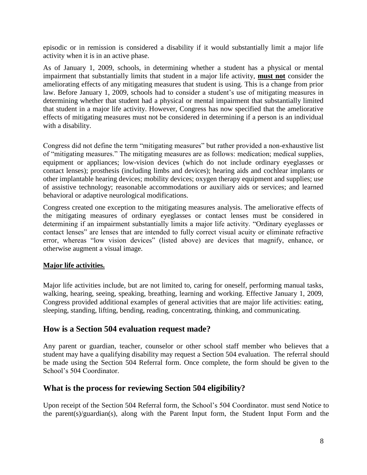episodic or in remission is considered a disability if it would substantially limit a major life activity when it is in an active phase.

As of January 1, 2009, schools, in determining whether a student has a physical or mental impairment that substantially limits that student in a major life activity, **must not** consider the ameliorating effects of any mitigating measures that student is using. This is a change from prior law. Before January 1, 2009, schools had to consider a student's use of mitigating measures in determining whether that student had a physical or mental impairment that substantially limited that student in a major life activity. However, Congress has now specified that the ameliorative effects of mitigating measures must not be considered in determining if a person is an individual with a disability.

Congress did not define the term "mitigating measures" but rather provided a non-exhaustive list of "mitigating measures." The mitigating measures are as follows: medication; medical supplies, equipment or appliances; low-vision devices (which do not include ordinary eyeglasses or contact lenses); prosthesis (including limbs and devices); hearing aids and cochlear implants or other implantable hearing devices; mobility devices; oxygen therapy equipment and supplies; use of assistive technology; reasonable accommodations or auxiliary aids or services; and learned behavioral or adaptive neurological modifications.

Congress created one exception to the mitigating measures analysis. The ameliorative effects of the mitigating measures of ordinary eyeglasses or contact lenses must be considered in determining if an impairment substantially limits a major life activity. "Ordinary eyeglasses or contact lenses" are lenses that are intended to fully correct visual acuity or eliminate refractive error, whereas "low vision devices" (listed above) are devices that magnify, enhance, or otherwise augment a visual image.

#### **Major life activities.**

Major life activities include, but are not limited to, caring for oneself, performing manual tasks, walking, hearing, seeing, speaking, breathing, learning and working. Effective January 1, 2009, Congress provided additional examples of general activities that are major life activities: eating, sleeping, standing, lifting, bending, reading, concentrating, thinking, and communicating.

#### **How is a Section 504 evaluation request made?**

Any parent or guardian, teacher, counselor or other school staff member who believes that a student may have a qualifying disability may request a Section 504 evaluation. The referral should be made using the Section 504 Referral form. Once complete, the form should be given to the School's 504 Coordinator.

#### **What is the process for reviewing Section 504 eligibility?**

Upon receipt of the Section 504 Referral form, the School's 504 Coordinator. must send Notice to the parent(s)/guardian(s), along with the Parent Input form, the Student Input Form and the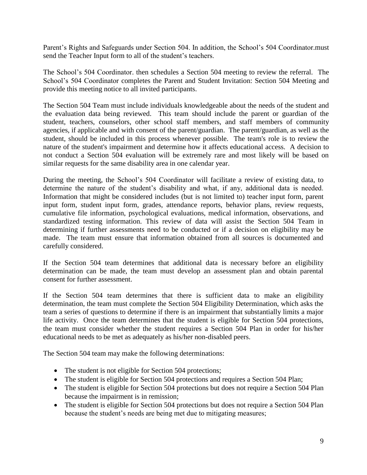Parent's Rights and Safeguards under Section 504. In addition, the School's 504 Coordinator.must send the Teacher Input form to all of the student's teachers.

The School's 504 Coordinator. then schedules a Section 504 meeting to review the referral. The School's 504 Coordinator completes the Parent and Student Invitation: Section 504 Meeting and provide this meeting notice to all invited participants.

The Section 504 Team must include individuals knowledgeable about the needs of the student and the evaluation data being reviewed. This team should include the parent or guardian of the student, teachers, counselors, other school staff members, and staff members of community agencies, if applicable and with consent of the parent/guardian. The parent/guardian, as well as the student, should be included in this process whenever possible. The team's role is to review the nature of the student's impairment and determine how it affects educational access. A decision to not conduct a Section 504 evaluation will be extremely rare and most likely will be based on similar requests for the same disability area in one calendar year.

During the meeting, the School's 504 Coordinator will facilitate a review of existing data, to determine the nature of the student's disability and what, if any, additional data is needed. Information that might be considered includes (but is not limited to) teacher input form, parent input form, student input form, grades, attendance reports, behavior plans, review requests, cumulative file information, psychological evaluations, medical information, observations, and standardized testing information. This review of data will assist the Section 504 Team in determining if further assessments need to be conducted or if a decision on eligibility may be made. The team must ensure that information obtained from all sources is documented and carefully considered.

If the Section 504 team determines that additional data is necessary before an eligibility determination can be made, the team must develop an assessment plan and obtain parental consent for further assessment.

If the Section 504 team determines that there is sufficient data to make an eligibility determination, the team must complete the Section 504 Eligibility Determination, which asks the team a series of questions to determine if there is an impairment that substantially limits a major life activity. Once the team determines that the student is eligible for Section 504 protections, the team must consider whether the student requires a Section 504 Plan in order for his/her educational needs to be met as adequately as his/her non-disabled peers.

The Section 504 team may make the following determinations:

- The student is not eligible for Section 504 protections;
- The student is eligible for Section 504 protections and requires a Section 504 Plan;
- The student is eligible for Section 504 protections but does not require a Section 504 Plan because the impairment is in remission;
- The student is eligible for Section 504 protections but does not require a Section 504 Plan because the student's needs are being met due to mitigating measures;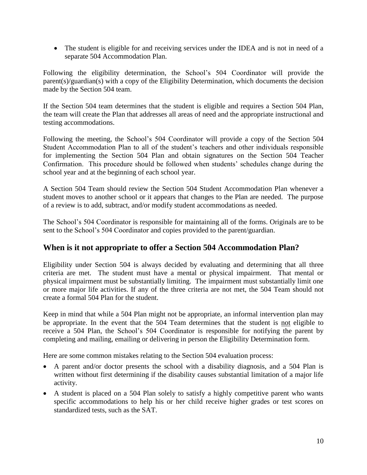• The student is eligible for and receiving services under the IDEA and is not in need of a separate 504 Accommodation Plan.

Following the eligibility determination, the School's 504 Coordinator will provide the parent(s)/guardian(s) with a copy of the Eligibility Determination, which documents the decision made by the Section 504 team.

If the Section 504 team determines that the student is eligible and requires a Section 504 Plan, the team will create the Plan that addresses all areas of need and the appropriate instructional and testing accommodations.

Following the meeting, the School's 504 Coordinator will provide a copy of the Section 504 Student Accommodation Plan to all of the student's teachers and other individuals responsible for implementing the Section 504 Plan and obtain signatures on the Section 504 Teacher Confirmation. This procedure should be followed when students' schedules change during the school year and at the beginning of each school year.

A Section 504 Team should review the Section 504 Student Accommodation Plan whenever a student moves to another school or it appears that changes to the Plan are needed. The purpose of a review is to add, subtract, and/or modify student accommodations as needed.

The School's 504 Coordinator is responsible for maintaining all of the forms. Originals are to be sent to the School's 504 Coordinator and copies provided to the parent/guardian.

#### **When is it not appropriate to offer a Section 504 Accommodation Plan?**

Eligibility under Section 504 is always decided by evaluating and determining that all three criteria are met. The student must have a mental or physical impairment. That mental or physical impairment must be substantially limiting. The impairment must substantially limit one or more major life activities. If any of the three criteria are not met, the 504 Team should not create a formal 504 Plan for the student.

Keep in mind that while a 504 Plan might not be appropriate, an informal intervention plan may be appropriate. In the event that the 504 Team determines that the student is not eligible to receive a 504 Plan, the School's 504 Coordinator is responsible for notifying the parent by completing and mailing, emailing or delivering in person the Eligibility Determination form.

Here are some common mistakes relating to the Section 504 evaluation process:

- A parent and/or doctor presents the school with a disability diagnosis, and a 504 Plan is written without first determining if the disability causes substantial limitation of a major life activity.
- A student is placed on a 504 Plan solely to satisfy a highly competitive parent who wants specific accommodations to help his or her child receive higher grades or test scores on standardized tests, such as the SAT.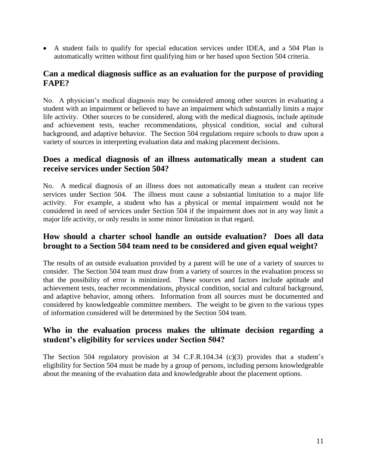• A student fails to qualify for special education services under IDEA, and a 504 Plan is automatically written without first qualifying him or her based upon Section 504 criteria.

#### **Can a medical diagnosis suffice as an evaluation for the purpose of providing FAPE?**

No. A physician's medical diagnosis may be considered among other sources in evaluating a student with an impairment or believed to have an impairment which substantially limits a major life activity. Other sources to be considered, along with the medical diagnosis, include aptitude and achievement tests, teacher recommendations, physical condition, social and cultural background, and adaptive behavior. The Section 504 regulations require schools to draw upon a variety of sources in interpreting evaluation data and making placement decisions.

#### **Does a medical diagnosis of an illness automatically mean a student can receive services under Section 504?**

No. A medical diagnosis of an illness does not automatically mean a student can receive services under Section 504. The illness must cause a substantial limitation to a major life activity. For example, a student who has a physical or mental impairment would not be considered in need of services under Section 504 if the impairment does not in any way limit a major life activity, or only results in some minor limitation in that regard.

#### **How should a charter school handle an outside evaluation? Does all data brought to a Section 504 team need to be considered and given equal weight?**

The results of an outside evaluation provided by a parent will be one of a variety of sources to consider. The Section 504 team must draw from a variety of sources in the evaluation process so that the possibility of error is minimized. These sources and factors include aptitude and achievement tests, teacher recommendations, physical condition, social and cultural background, and adaptive behavior, among others. Information from all sources must be documented and considered by knowledgeable committee members. The weight to be given to the various types of information considered will be determined by the Section 504 team.

### **Who in the evaluation process makes the ultimate decision regarding a student's eligibility for services under Section 504?**

The Section 504 regulatory provision at 34 C.F.R.104.34 (c)(3) provides that a student's eligibility for Section 504 must be made by a group of persons, including persons knowledgeable about the meaning of the evaluation data and knowledgeable about the placement options.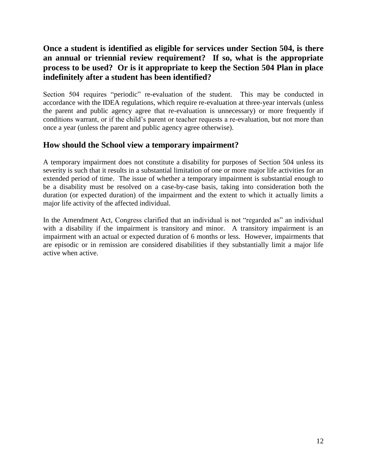### **Once a student is identified as eligible for services under Section 504, is there an annual or triennial review requirement? If so, what is the appropriate process to be used? Or is it appropriate to keep the Section 504 Plan in place indefinitely after a student has been identified?**

Section 504 requires "periodic" re-evaluation of the student. This may be conducted in accordance with the IDEA regulations, which require re-evaluation at three-year intervals (unless the parent and public agency agree that re-evaluation is unnecessary) or more frequently if conditions warrant, or if the child's parent or teacher requests a re-evaluation, but not more than once a year (unless the parent and public agency agree otherwise).

#### **How should the School view a temporary impairment?**

A temporary impairment does not constitute a disability for purposes of Section 504 unless its severity is such that it results in a substantial limitation of one or more major life activities for an extended period of time. The issue of whether a temporary impairment is substantial enough to be a disability must be resolved on a case-by-case basis, taking into consideration both the duration (or expected duration) of the impairment and the extent to which it actually limits a major life activity of the affected individual.

In the Amendment Act, Congress clarified that an individual is not "regarded as" an individual with a disability if the impairment is transitory and minor. A transitory impairment is an impairment with an actual or expected duration of 6 months or less. However, impairments that are episodic or in remission are considered disabilities if they substantially limit a major life active when active.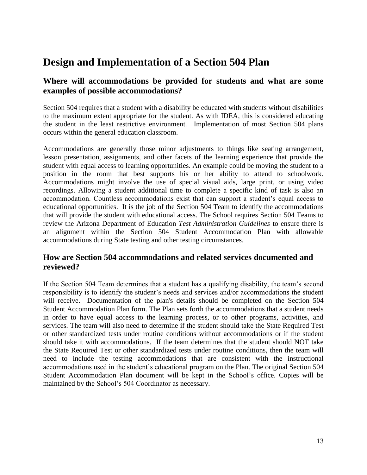## **Design and Implementation of a Section 504 Plan**

#### **Where will accommodations be provided for students and what are some examples of possible accommodations?**

Section 504 requires that a student with a disability be educated with students without disabilities to the maximum extent appropriate for the student. As with IDEA, this is considered educating the student in the least restrictive environment. Implementation of most Section 504 plans occurs within the general education classroom.

Accommodations are generally those minor adjustments to things like seating arrangement, lesson presentation, assignments, and other facets of the learning experience that provide the student with equal access to learning opportunities. An example could be moving the student to a position in the room that best supports his or her ability to attend to schoolwork. Accommodations might involve the use of special visual aids, large print, or using video recordings. Allowing a student additional time to complete a specific kind of task is also an accommodation. Countless accommodations exist that can support a student's equal access to educational opportunities. It is the job of the Section 504 Team to identify the accommodations that will provide the student with educational access. The School requires Section 504 Teams to review the Arizona Department of Education *Test Administration Guidelines* to ensure there is an alignment within the Section 504 Student Accommodation Plan with allowable accommodations during State testing and other testing circumstances.

#### **How are Section 504 accommodations and related services documented and reviewed?**

If the Section 504 Team determines that a student has a qualifying disability, the team's second responsibility is to identify the student's needs and services and/or accommodations the student will receive. Documentation of the plan's details should be completed on the Section 504 Student Accommodation Plan form. The Plan sets forth the accommodations that a student needs in order to have equal access to the learning process, or to other programs, activities, and services. The team will also need to determine if the student should take the State Required Test or other standardized tests under routine conditions without accommodations or if the student should take it with accommodations. If the team determines that the student should NOT take the State Required Test or other standardized tests under routine conditions, then the team will need to include the testing accommodations that are consistent with the instructional accommodations used in the student's educational program on the Plan. The original Section 504 Student Accommodation Plan document will be kept in the School's office. Copies will be maintained by the School's 504 Coordinator as necessary.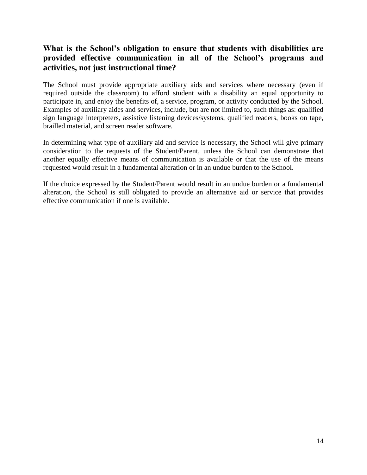### **What is the School's obligation to ensure that students with disabilities are provided effective communication in all of the School's programs and activities, not just instructional time?**

The School must provide appropriate auxiliary aids and services where necessary (even if required outside the classroom) to afford student with a disability an equal opportunity to participate in, and enjoy the benefits of, a service, program, or activity conducted by the School. Examples of auxiliary aides and services, include, but are not limited to, such things as: qualified sign language interpreters, assistive listening devices/systems, qualified readers, books on tape, brailled material, and screen reader software.

In determining what type of auxiliary aid and service is necessary, the School will give primary consideration to the requests of the Student/Parent, unless the School can demonstrate that another equally effective means of communication is available or that the use of the means requested would result in a fundamental alteration or in an undue burden to the School.

If the choice expressed by the Student/Parent would result in an undue burden or a fundamental alteration, the School is still obligated to provide an alternative aid or service that provides effective communication if one is available.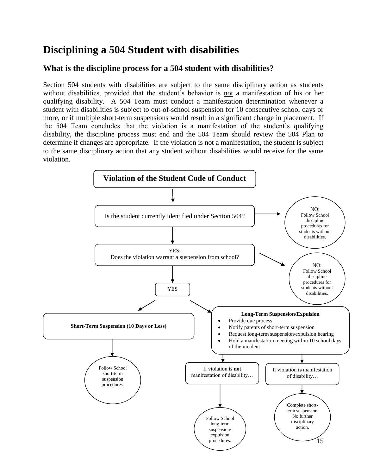# **Disciplining a 504 Student with disabilities**

### **What is the discipline process for a 504 student with disabilities?**

Section 504 students with disabilities are subject to the same disciplinary action as students without disabilities, provided that the student's behavior is not a manifestation of his or her qualifying disability. A 504 Team must conduct a manifestation determination whenever a student with disabilities is subject to out-of-school suspension for 10 consecutive school days or more, or if multiple short-term suspensions would result in a significant change in placement. If the 504 Team concludes that the violation is a manifestation of the student's qualifying disability, the discipline process must end and the 504 Team should review the 504 Plan to determine if changes are appropriate. If the violation is not a manifestation, the student is subject to the same disciplinary action that any student without disabilities would receive for the same violation.

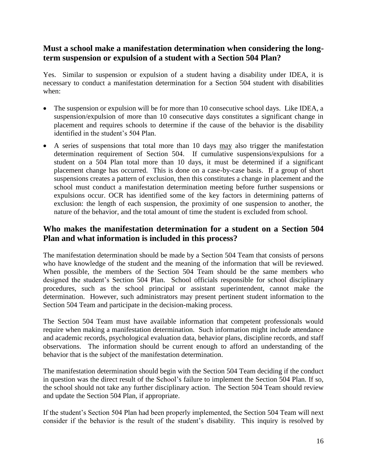#### **Must a school make a manifestation determination when considering the longterm suspension or expulsion of a student with a Section 504 Plan?**

Yes. Similar to suspension or expulsion of a student having a disability under IDEA, it is necessary to conduct a manifestation determination for a Section 504 student with disabilities when:

- The suspension or expulsion will be for more than 10 consecutive school days. Like IDEA, a suspension/expulsion of more than 10 consecutive days constitutes a significant change in placement and requires schools to determine if the cause of the behavior is the disability identified in the student's 504 Plan.
- A series of suspensions that total more than 10 days may also trigger the manifestation determination requirement of Section 504. If cumulative suspensions/expulsions for a student on a 504 Plan total more than 10 days, it must be determined if a significant placement change has occurred. This is done on a case-by-case basis. If a group of short suspensions creates a pattern of exclusion, then this constitutes a change in placement and the school must conduct a manifestation determination meeting before further suspensions or expulsions occur. OCR has identified some of the key factors in determining patterns of exclusion: the length of each suspension, the proximity of one suspension to another, the nature of the behavior, and the total amount of time the student is excluded from school.

### **Who makes the manifestation determination for a student on a Section 504 Plan and what information is included in this process?**

The manifestation determination should be made by a Section 504 Team that consists of persons who have knowledge of the student and the meaning of the information that will be reviewed. When possible, the members of the Section 504 Team should be the same members who designed the student's Section 504 Plan. School officials responsible for school disciplinary procedures, such as the school principal or assistant superintendent, cannot make the determination. However, such administrators may present pertinent student information to the Section 504 Team and participate in the decision-making process.

The Section 504 Team must have available information that competent professionals would require when making a manifestation determination. Such information might include attendance and academic records, psychological evaluation data, behavior plans, discipline records, and staff observations. The information should be current enough to afford an understanding of the behavior that is the subject of the manifestation determination.

The manifestation determination should begin with the Section 504 Team deciding if the conduct in question was the direct result of the School's failure to implement the Section 504 Plan. If so, the school should not take any further disciplinary action. The Section 504 Team should review and update the Section 504 Plan, if appropriate.

If the student's Section 504 Plan had been properly implemented, the Section 504 Team will next consider if the behavior is the result of the student's disability. This inquiry is resolved by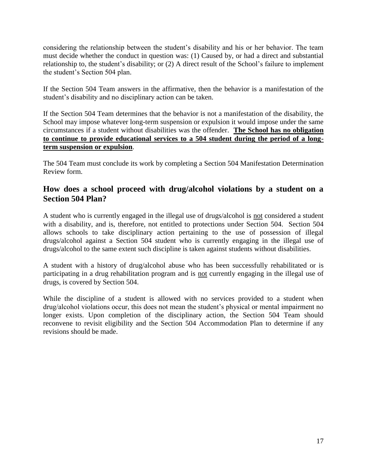considering the relationship between the student's disability and his or her behavior. The team must decide whether the conduct in question was: (1) Caused by, or had a direct and substantial relationship to, the student's disability; or (2) A direct result of the School's failure to implement the student's Section 504 plan.

If the Section 504 Team answers in the affirmative, then the behavior is a manifestation of the student's disability and no disciplinary action can be taken.

If the Section 504 Team determines that the behavior is not a manifestation of the disability, the School may impose whatever long-term suspension or expulsion it would impose under the same circumstances if a student without disabilities was the offender. **The School has no obligation to continue to provide educational services to a 504 student during the period of a longterm suspension or expulsion**.

The 504 Team must conclude its work by completing a Section 504 Manifestation Determination Review form.

#### **How does a school proceed with drug/alcohol violations by a student on a Section 504 Plan?**

A student who is currently engaged in the illegal use of drugs/alcohol is not considered a student with a disability, and is, therefore, not entitled to protections under Section 504. Section 504 allows schools to take disciplinary action pertaining to the use of possession of illegal drugs/alcohol against a Section 504 student who is currently engaging in the illegal use of drugs/alcohol to the same extent such discipline is taken against students without disabilities.

A student with a history of drug/alcohol abuse who has been successfully rehabilitated or is participating in a drug rehabilitation program and is not currently engaging in the illegal use of drugs, is covered by Section 504.

While the discipline of a student is allowed with no services provided to a student when drug/alcohol violations occur, this does not mean the student's physical or mental impairment no longer exists. Upon completion of the disciplinary action, the Section 504 Team should reconvene to revisit eligibility and the Section 504 Accommodation Plan to determine if any revisions should be made.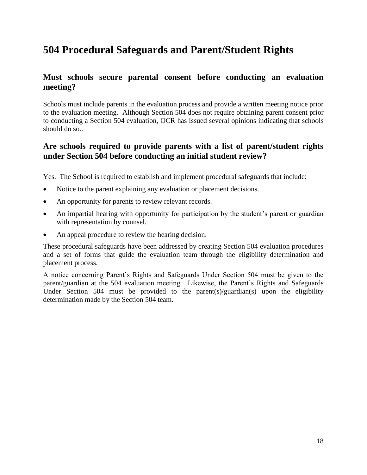# **504 Procedural Safeguards and Parent/Student Rights**

#### **Must schools secure parental consent before conducting an evaluation meeting?**

Schools must include parents in the evaluation process and provide a written meeting notice prior to the evaluation meeting. Although Section 504 does not require obtaining parent consent prior to conducting a Section 504 evaluation, OCR has issued several opinions indicating that schools should do so..

#### **Are schools required to provide parents with a list of parent/student rights under Section 504 before conducting an initial student review?**

Yes. The School is required to establish and implement procedural safeguards that include:

- Notice to the parent explaining any evaluation or placement decisions.
- An opportunity for parents to review relevant records.
- An impartial hearing with opportunity for participation by the student's parent or guardian with representation by counsel.
- An appeal procedure to review the hearing decision.

These procedural safeguards have been addressed by creating Section 504 evaluation procedures and a set of forms that guide the evaluation team through the eligibility determination and placement process.

A notice concerning Parent's Rights and Safeguards Under Section 504 must be given to the parent/guardian at the 504 evaluation meeting. Likewise, the Parent's Rights and Safeguards Under Section 504 must be provided to the parent(s)/guardian(s) upon the eligibility determination made by the Section 504 team.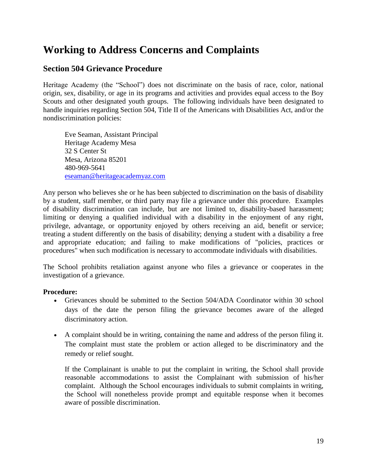# **Working to Address Concerns and Complaints**

#### **Section 504 Grievance Procedure**

Heritage Academy (the "School") does not discriminate on the basis of race, color, national origin, sex, disability, or age in its programs and activities and provides equal access to the Boy Scouts and other designated youth groups. The following individuals have been designated to handle inquiries regarding Section 504, Title II of the Americans with Disabilities Act, and/or the nondiscrimination policies:

Eve Seaman, Assistant Principal Heritage Academy Mesa 32 S Center St Mesa, Arizona 85201 480-969-5641 [eseaman@heritageacademyaz.com](mailto:eseaman@heritageacademyaz.com)

Any person who believes she or he has been subjected to discrimination on the basis of disability by a student, staff member, or third party may file a grievance under this procedure. Examples of disability discrimination can include, but are not limited to, disability-based harassment; limiting or denying a qualified individual with a disability in the enjoyment of any right, privilege, advantage, or opportunity enjoyed by others receiving an aid, benefit or service; treating a student differently on the basis of disability; denying a student with a disability a free and appropriate education; and failing to make modifications of "policies, practices or procedures" when such modification is necessary to accommodate individuals with disabilities.

The School prohibits retaliation against anyone who files a grievance or cooperates in the investigation of a grievance.

#### **Procedure:**

- Grievances should be submitted to the Section 504/ADA Coordinator within 30 school days of the date the person filing the grievance becomes aware of the alleged discriminatory action.
- A complaint should be in writing, containing the name and address of the person filing it. The complaint must state the problem or action alleged to be discriminatory and the remedy or relief sought.

If the Complainant is unable to put the complaint in writing, the School shall provide reasonable accommodations to assist the Complainant with submission of his/her complaint. Although the School encourages individuals to submit complaints in writing, the School will nonetheless provide prompt and equitable response when it becomes aware of possible discrimination.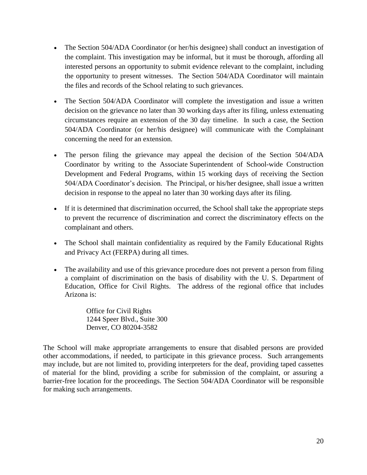- The Section 504/ADA Coordinator (or her/his designee) shall conduct an investigation of the complaint. This investigation may be informal, but it must be thorough, affording all interested persons an opportunity to submit evidence relevant to the complaint, including the opportunity to present witnesses. The Section 504/ADA Coordinator will maintain the files and records of the School relating to such grievances.
- The Section 504/ADA Coordinator will complete the investigation and issue a written decision on the grievance no later than 30 working days after its filing, unless extenuating circumstances require an extension of the 30 day timeline. In such a case, the Section 504/ADA Coordinator (or her/his designee) will communicate with the Complainant concerning the need for an extension.
- The person filing the grievance may appeal the decision of the Section 504/ADA Coordinator by writing to the Associate Superintendent of School-wide Construction Development and Federal Programs, within 15 working days of receiving the Section 504/ADA Coordinator's decision. The Principal, or his/her designee, shall issue a written decision in response to the appeal no later than 30 working days after its filing.
- If it is determined that discrimination occurred, the School shall take the appropriate steps to prevent the recurrence of discrimination and correct the discriminatory effects on the complainant and others.
- The School shall maintain confidentiality as required by the Family Educational Rights and Privacy Act (FERPA) during all times.
- The availability and use of this grievance procedure does not prevent a person from filing a complaint of discrimination on the basis of disability with the U. S. Department of Education, Office for Civil Rights. The address of the regional office that includes Arizona is:

Office for Civil Rights 1244 Speer Blvd., Suite 300 Denver, CO 80204-3582

The School will make appropriate arrangements to ensure that disabled persons are provided other accommodations, if needed, to participate in this grievance process. Such arrangements may include, but are not limited to, providing interpreters for the deaf, providing taped cassettes of material for the blind, providing a scribe for submission of the complaint, or assuring a barrier-free location for the proceedings. The Section 504/ADA Coordinator will be responsible for making such arrangements.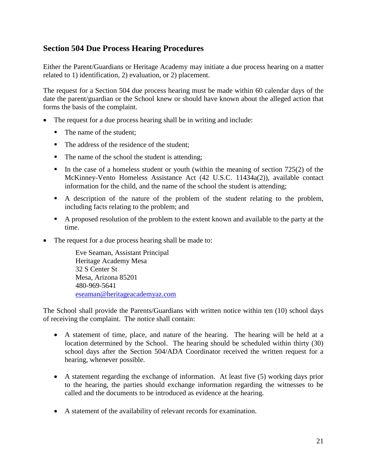#### **Section 504 Due Process Hearing Procedures**

Either the Parent/Guardians or Heritage Academy may initiate a due process hearing on a matter related to 1) identification, 2) evaluation, or 2) placement.

The request for a Section 504 due process hearing must be made within 60 calendar days of the date the parent/guardian or the School knew or should have known about the alleged action that forms the basis of the complaint.

- The request for a due process hearing shall be in writing and include:
	- The name of the student;
	- The address of the residence of the student:
	- The name of the school the student is attending;
	- $\blacksquare$  In the case of a homeless student or youth (within the meaning of section 725(2) of the McKinney-Vento Homeless Assistance Act (42 U.S.C. 11434a(2)), available contact information for the child, and the name of the school the student is attending;
	- A description of the nature of the problem of the student relating to the problem, including facts relating to the problem; and
	- A proposed resolution of the problem to the extent known and available to the party at the time.
- The request for a due process hearing shall be made to:

Eve Seaman, Assistant Principal Heritage Academy Mesa 32 S Center St Mesa, Arizona 85201 480-969-5641 [eseaman@heritageacademyaz.com](mailto:eseaman@heritageacademyaz.com)

The School shall provide the Parents/Guardians with written notice within ten (10) school days of receiving the complaint. The notice shall contain:

- A statement of time, place, and nature of the hearing. The hearing will be held at a location determined by the School. The hearing should be scheduled within thirty (30) school days after the Section 504/ADA Coordinator received the written request for a hearing, whenever possible.
- A statement regarding the exchange of information. At least five (5) working days prior to the hearing, the parties should exchange information regarding the witnesses to be called and the documents to be introduced as evidence at the hearing.
- A statement of the availability of relevant records for examination.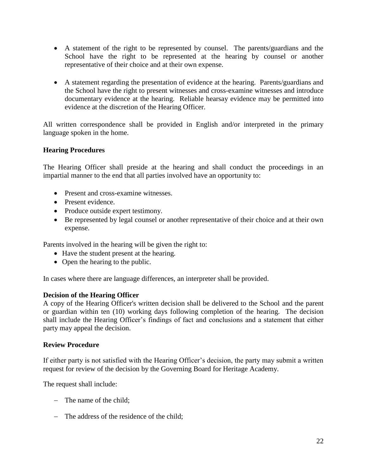- A statement of the right to be represented by counsel. The parents/guardians and the School have the right to be represented at the hearing by counsel or another representative of their choice and at their own expense.
- A statement regarding the presentation of evidence at the hearing. Parents/guardians and the School have the right to present witnesses and cross-examine witnesses and introduce documentary evidence at the hearing. Reliable hearsay evidence may be permitted into evidence at the discretion of the Hearing Officer.

All written correspondence shall be provided in English and/or interpreted in the primary language spoken in the home.

#### **Hearing Procedures**

The Hearing Officer shall preside at the hearing and shall conduct the proceedings in an impartial manner to the end that all parties involved have an opportunity to:

- Present and cross-examine witnesses.
- Present evidence.
- Produce outside expert testimony.
- Be represented by legal counsel or another representative of their choice and at their own expense.

Parents involved in the hearing will be given the right to:

- Have the student present at the hearing.
- Open the hearing to the public.

In cases where there are language differences, an interpreter shall be provided.

#### **Decision of the Hearing Officer**

A copy of the Hearing Officer's written decision shall be delivered to the School and the parent or guardian within ten (10) working days following completion of the hearing. The decision shall include the Hearing Officer's findings of fact and conclusions and a statement that either party may appeal the decision.

#### **Review Procedure**

If either party is not satisfied with the Hearing Officer's decision, the party may submit a written request for review of the decision by the Governing Board for Heritage Academy.

The request shall include:

- − The name of the child;
- − The address of the residence of the child;